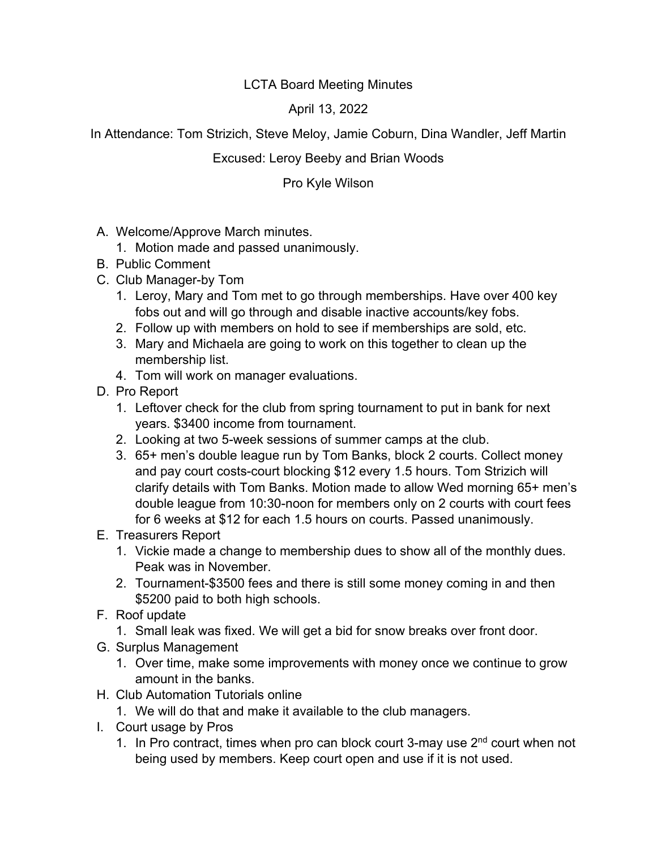## LCTA Board Meeting Minutes

April 13, 2022

In Attendance: Tom Strizich, Steve Meloy, Jamie Coburn, Dina Wandler, Jeff Martin

## Excused: Leroy Beeby and Brian Woods

Pro Kyle Wilson

- A. Welcome/Approve March minutes.
	- 1. Motion made and passed unanimously.
- B. Public Comment
- C. Club Manager-by Tom
	- 1. Leroy, Mary and Tom met to go through memberships. Have over 400 key fobs out and will go through and disable inactive accounts/key fobs.
	- 2. Follow up with members on hold to see if memberships are sold, etc.
	- 3. Mary and Michaela are going to work on this together to clean up the membership list.
	- 4. Tom will work on manager evaluations.
- D. Pro Report
	- 1. Leftover check for the club from spring tournament to put in bank for next years. \$3400 income from tournament.
	- 2. Looking at two 5-week sessions of summer camps at the club.
	- 3. 65+ men's double league run by Tom Banks, block 2 courts. Collect money and pay court costs-court blocking \$12 every 1.5 hours. Tom Strizich will clarify details with Tom Banks. Motion made to allow Wed morning 65+ men's double league from 10:30-noon for members only on 2 courts with court fees for 6 weeks at \$12 for each 1.5 hours on courts. Passed unanimously.
- E. Treasurers Report
	- 1. Vickie made a change to membership dues to show all of the monthly dues. Peak was in November.
	- 2. Tournament-\$3500 fees and there is still some money coming in and then \$5200 paid to both high schools.
- F. Roof update
	- 1. Small leak was fixed. We will get a bid for snow breaks over front door.
- G. Surplus Management
	- 1. Over time, make some improvements with money once we continue to grow amount in the banks.
- H. Club Automation Tutorials online
	- 1. We will do that and make it available to the club managers.
- I. Court usage by Pros
	- 1. In Pro contract, times when pro can block court 3-may use  $2<sup>nd</sup>$  court when not being used by members. Keep court open and use if it is not used.